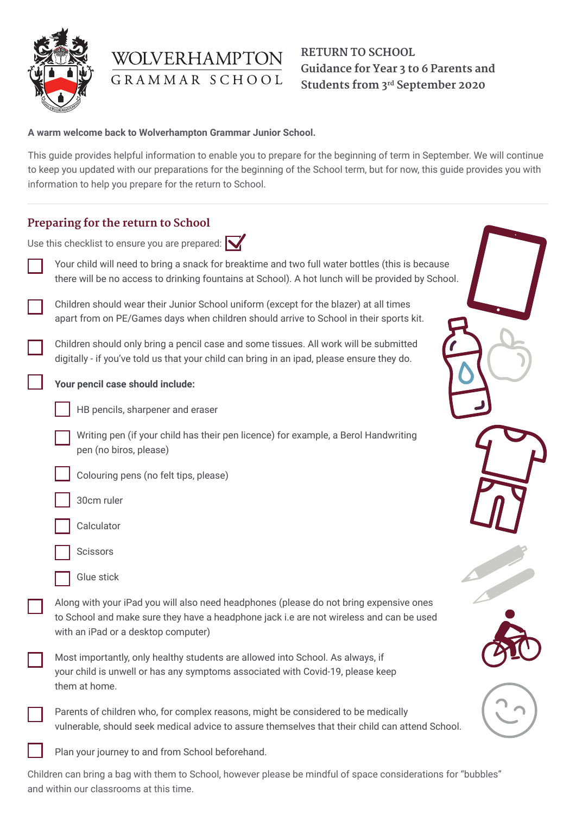

# WOLVERHAMPTON GRAMMAR SCHOOL

# **RETURN TO SCHOOL Guidance for Year 3 to 6 Parents and Students from 3rd September 2020**

#### **A warm welcome back to Wolverhampton Grammar Junior School.**

This guide provides helpful information to enable you to prepare for the beginning of term in September. We will continue to keep you updated with our preparations for the beginning of the School term, but for now, this guide provides you with information to help you prepare for the return to School.

| Preparing for the return to School                       |                                                                                                                                                                                                                          |
|----------------------------------------------------------|--------------------------------------------------------------------------------------------------------------------------------------------------------------------------------------------------------------------------|
| Use this checklist to ensure you are prepared: $\bigvee$ |                                                                                                                                                                                                                          |
|                                                          | Your child will need to bring a snack for breaktime and two full water bottles (this is because<br>there will be no access to drinking fountains at School). A hot lunch will be provided by School.                     |
|                                                          | Children should wear their Junior School uniform (except for the blazer) at all times<br>apart from on PE/Games days when children should arrive to School in their sports kit.                                          |
|                                                          | Children should only bring a pencil case and some tissues. All work will be submitted<br>digitally - if you've told us that your child can bring in an ipad, please ensure they do.                                      |
|                                                          | Your pencil case should include:                                                                                                                                                                                         |
|                                                          | HB pencils, sharpener and eraser                                                                                                                                                                                         |
|                                                          | Writing pen (if your child has their pen licence) for example, a Berol Handwriting<br>pen (no biros, please)                                                                                                             |
|                                                          | Colouring pens (no felt tips, please)                                                                                                                                                                                    |
|                                                          | 30cm ruler                                                                                                                                                                                                               |
|                                                          | Calculator                                                                                                                                                                                                               |
|                                                          | Scissors                                                                                                                                                                                                                 |
|                                                          | Glue stick                                                                                                                                                                                                               |
|                                                          | Along with your iPad you will also need headphones (please do not bring expensive ones<br>to School and make sure they have a headphone jack i.e are not wireless and can be used<br>with an iPad or a desktop computer) |
|                                                          | Most importantly, only healthy students are allowed into School. As always, if<br>your child is unwell or has any symptoms associated with Covid-19, please keep<br>them at home.                                        |
|                                                          | Parents of children who, for complex reasons, might be considered to be medically<br>vulnerable, should seek medical advice to assure themselves that their child can attend School.                                     |
|                                                          | Plan your journey to and from School beforehand.                                                                                                                                                                         |

Children can bring a bag with them to School, however please be mindful of space considerations for "bubbles" and within our classrooms at this time.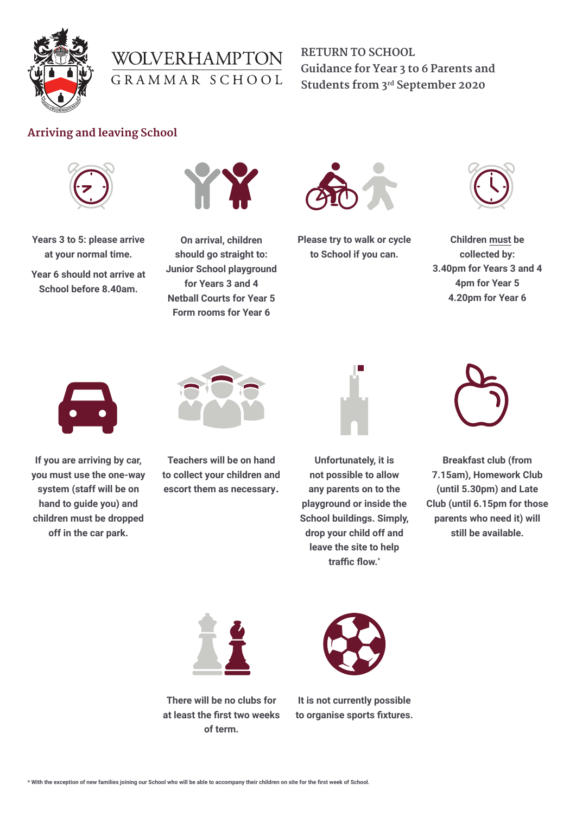



**RETURN TO SCHOOL Guidance for Year 3 to 6 Parents and Students from 3rd September 2020**

#### **Arriving and leaving School**



**Years 3 to 5: please arrive at your normal time.**

**Year 6 should not arrive at School before 8.40am.**



**On arrival, children should go straight to: Junior School playground for Years 3 and 4 Netball Courts for Year 5 Form rooms for Year 6**



**Please try to walk or cycle to School if you can.** 



**Children must be collected by: 3.40pm for Years 3 and 4 4pm for Year 5 4.20pm for Year 6**



**If you are arriving by car, you must use the one-way system (staff will be on hand to guide you) and children must be dropped off in the car park.**



**Teachers will be on hand to collect your children and escort them as necessary.**



**Unfortunately, it is not possible to allow any parents on to the playground or inside the School buildings. Simply, drop your child off and leave the site to help traffic flow.\***



**Breakfast club (from 7.15am), Homework Club (until 5.30pm) and Late Club (until 6.15pm for those parents who need it) will still be available.**



**There will be no clubs for at least the first two weeks of term.**



**It is not currently possible to organise sports fixtures.**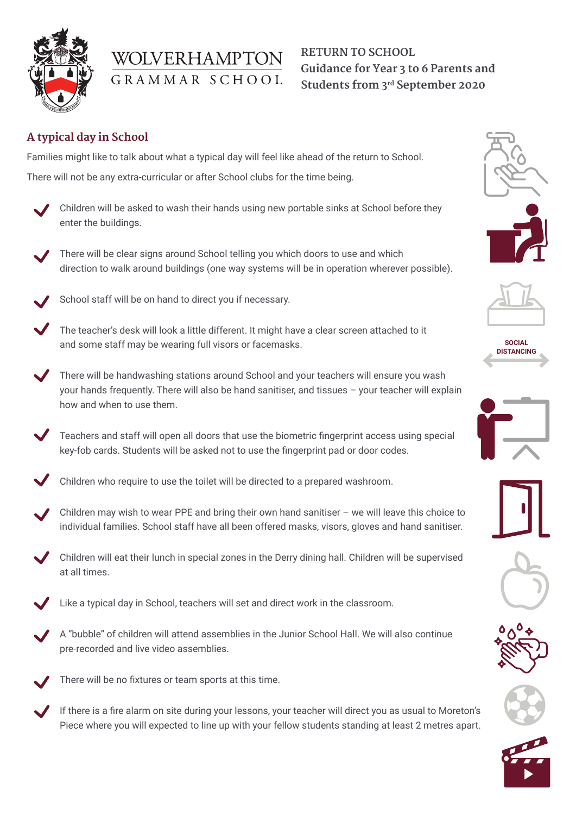

# WOLVERHAMPTON GRAMMAR SCHOOL

# **RETURN TO SCHOOL Guidance for Year 3 to 6 Parents and Students from 3rd September 2020**

# **A typical day in School**

Families might like to talk about what a typical day will feel like ahead of the return to School.

There will not be any extra-curricular or after School clubs for the time being.

- Children will be asked to wash their hands using new portable sinks at School before they enter the buildings.
- There will be clear signs around School telling you which doors to use and which direction to walk around buildings (one way systems will be in operation wherever possible).
- School staff will be on hand to direct you if necessary.
- The teacher's desk will look a little different. It might have a clear screen attached to it and some staff may be wearing full visors or facemasks.
- There will be handwashing stations around School and your teachers will ensure you wash your hands frequently. There will also be hand sanitiser, and tissues – your teacher will explain how and when to use them.
	- Teachers and staff will open all doors that use the biometric fingerprint access using special key-fob cards. Students will be asked not to use the fingerprint pad or door codes.
- Children who require to use the toilet will be directed to a prepared washroom.
- Children may wish to wear PPE and bring their own hand sanitiser we will leave this choice to individual families. School staff have all been offered masks, visors, gloves and hand sanitiser.
- $^{\prime}$  Children will eat their lunch in special zones in the Derry dining hall. Children will be supervised at all times.
- Like a typical day in School, teachers will set and direct work in the classroom.
- A "bubble" of children will attend assemblies in the Junior School Hall. We will also continue pre-recorded and live video assemblies.
- There will be no fixtures or team sports at this time.
- If there is a fire alarm on site during your lessons, your teacher will direct you as usual to Moreton's Piece where you will expected to line up with your fellow students standing at least 2 metres apart.